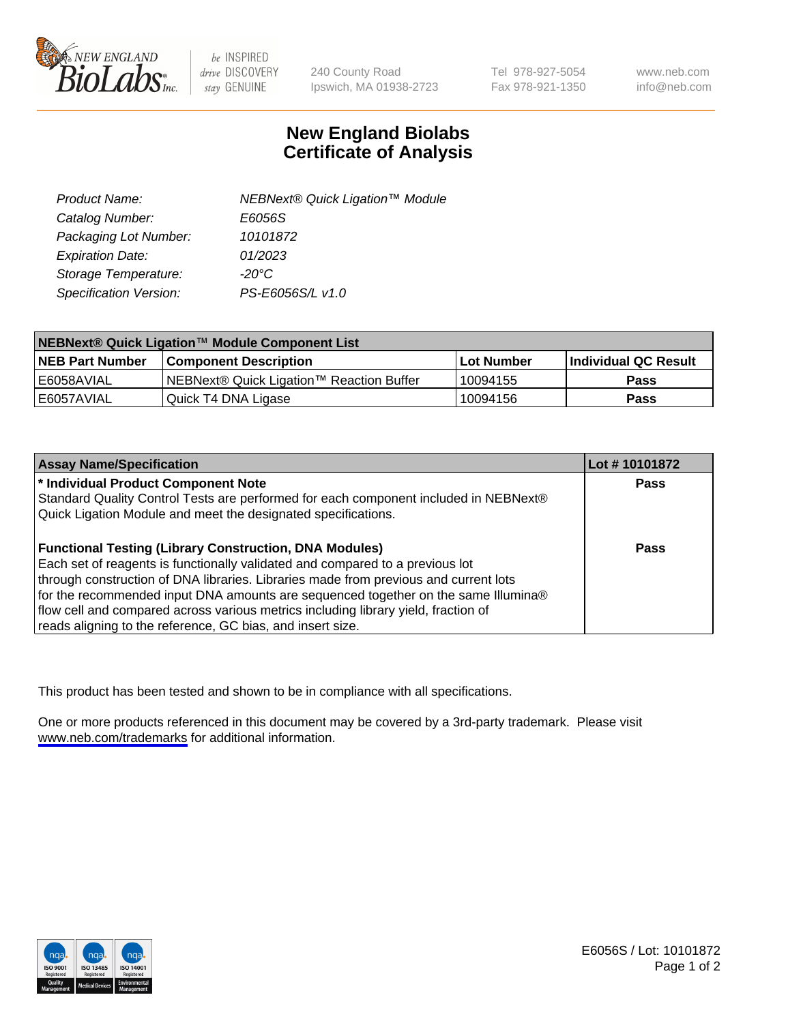

be INSPIRED drive DISCOVERY stay GENUINE

240 County Road Ipswich, MA 01938-2723 Tel 978-927-5054 Fax 978-921-1350

www.neb.com info@neb.com

## **New England Biolabs Certificate of Analysis**

| Product Name:           | NEBNext® Quick Ligation™ Module |
|-------------------------|---------------------------------|
| Catalog Number:         | E6056S                          |
| Packaging Lot Number:   | 10101872                        |
| <b>Expiration Date:</b> | 01/2023                         |
| Storage Temperature:    | $-20^{\circ}$ C                 |
| Specification Version:  | PS-E6056S/L v1.0                |

| <b>NEBNext<sup>®</sup> Quick Ligation™ Module Component List</b> |                                          |             |                      |  |
|------------------------------------------------------------------|------------------------------------------|-------------|----------------------|--|
| <b>NEB Part Number</b>                                           | <b>Component Description</b>             | ⊺Lot Number | Individual QC Result |  |
| l E6058AVIAL                                                     | NEBNext® Quick Ligation™ Reaction Buffer | 10094155    | <b>Pass</b>          |  |
| E6057AVIAL                                                       | Quick T4 DNA Ligase                      | 10094156    | <b>Pass</b>          |  |

| <b>Assay Name/Specification</b>                                                      | Lot #10101872 |
|--------------------------------------------------------------------------------------|---------------|
| * Individual Product Component Note                                                  | <b>Pass</b>   |
| Standard Quality Control Tests are performed for each component included in NEBNext® |               |
| Quick Ligation Module and meet the designated specifications.                        |               |
|                                                                                      |               |
| <b>Functional Testing (Library Construction, DNA Modules)</b>                        | <b>Pass</b>   |
| Each set of reagents is functionally validated and compared to a previous lot        |               |
| through construction of DNA libraries. Libraries made from previous and current lots |               |
| for the recommended input DNA amounts are sequenced together on the same Illumina®   |               |
| flow cell and compared across various metrics including library yield, fraction of   |               |
| reads aligning to the reference, GC bias, and insert size.                           |               |

This product has been tested and shown to be in compliance with all specifications.

One or more products referenced in this document may be covered by a 3rd-party trademark. Please visit <www.neb.com/trademarks>for additional information.